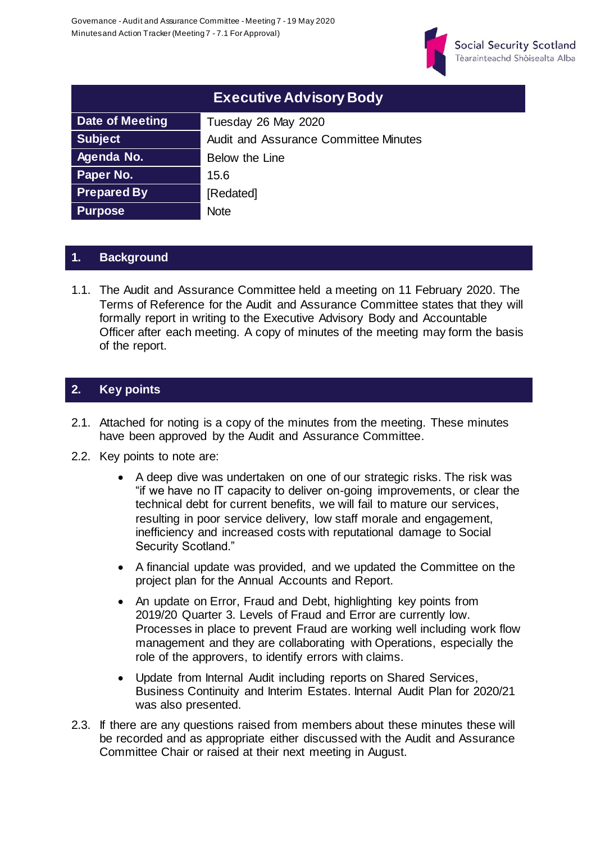

| <b>Executive Advisory Body</b> |                                              |  |  |  |
|--------------------------------|----------------------------------------------|--|--|--|
| <b>Date of Meeting</b>         | Tuesday 26 May 2020                          |  |  |  |
| <b>Subject</b>                 | <b>Audit and Assurance Committee Minutes</b> |  |  |  |
| Agenda No.                     | Below the Line                               |  |  |  |
| Paper No.                      | 15.6                                         |  |  |  |
| <b>Prepared By</b>             | [Redated]                                    |  |  |  |
| <b>Purpose</b>                 | <b>Note</b>                                  |  |  |  |

### **1. Background**

1.1. The Audit and Assurance Committee held a meeting on 11 February 2020. The Terms of Reference for the Audit and Assurance Committee states that they will formally report in writing to the Executive Advisory Body and Accountable Officer after each meeting. A copy of minutes of the meeting may form the basis of the report.

### **2. Key points**

- 2.1. Attached for noting is a copy of the minutes from the meeting. These minutes have been approved by the Audit and Assurance Committee.
- 2.2. Key points to note are:
	- A deep dive was undertaken on one of our strategic risks. The risk was "if we have no IT capacity to deliver on-going improvements, or clear the technical debt for current benefits, we will fail to mature our services, resulting in poor service delivery, low staff morale and engagement, inefficiency and increased costs with reputational damage to Social Security Scotland."
	- A financial update was provided, and we updated the Committee on the project plan for the Annual Accounts and Report.
	- An update on Error, Fraud and Debt, highlighting key points from 2019/20 Quarter 3. Levels of Fraud and Error are currently low. Processes in place to prevent Fraud are working well including work flow management and they are collaborating with Operations, especially the role of the approvers, to identify errors with claims.
	- Update from Internal Audit including reports on Shared Services, Business Continuity and Interim Estates. Internal Audit Plan for 2020/21 was also presented.
- 2.3. If there are any questions raised from members about these minutes these will be recorded and as appropriate either discussed with the Audit and Assurance Committee Chair or raised at their next meeting in August.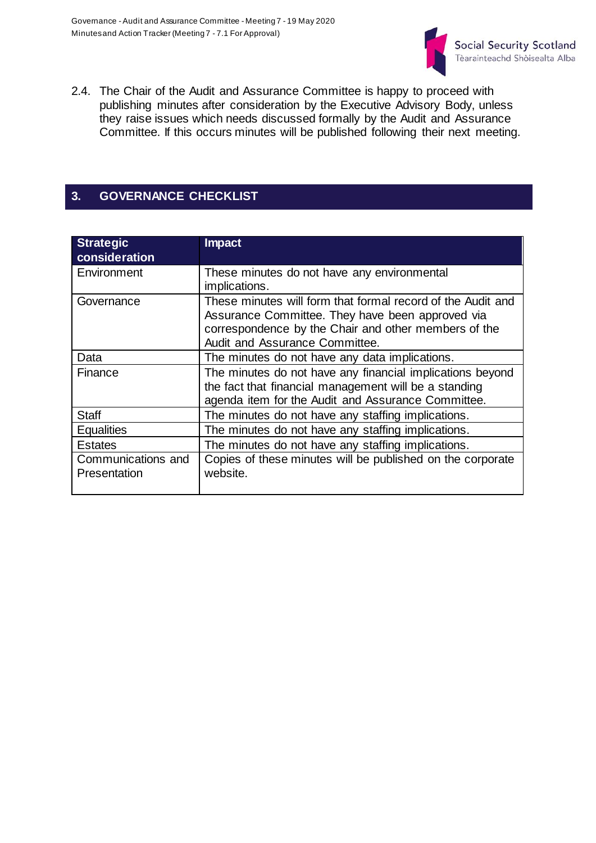

2.4. The Chair of the Audit and Assurance Committee is happy to proceed with publishing minutes after consideration by the Executive Advisory Body, unless they raise issues which needs discussed formally by the Audit and Assurance Committee. If this occurs minutes will be published following their next meeting.

# **3. GOVERNANCE CHECKLIST**

| <b>Strategic</b><br>consideration  | <b>Impact</b>                                                                                                                                                                                             |  |  |  |
|------------------------------------|-----------------------------------------------------------------------------------------------------------------------------------------------------------------------------------------------------------|--|--|--|
| Environment                        | These minutes do not have any environmental<br>implications.                                                                                                                                              |  |  |  |
| Governance                         | These minutes will form that formal record of the Audit and<br>Assurance Committee. They have been approved via<br>correspondence by the Chair and other members of the<br>Audit and Assurance Committee. |  |  |  |
| Data                               | The minutes do not have any data implications.                                                                                                                                                            |  |  |  |
| Finance                            | The minutes do not have any financial implications beyond<br>the fact that financial management will be a standing<br>agenda item for the Audit and Assurance Committee.                                  |  |  |  |
| <b>Staff</b>                       | The minutes do not have any staffing implications.                                                                                                                                                        |  |  |  |
| <b>Equalities</b>                  | The minutes do not have any staffing implications.                                                                                                                                                        |  |  |  |
| <b>Estates</b>                     | The minutes do not have any staffing implications.                                                                                                                                                        |  |  |  |
| Communications and<br>Presentation | Copies of these minutes will be published on the corporate<br>website.                                                                                                                                    |  |  |  |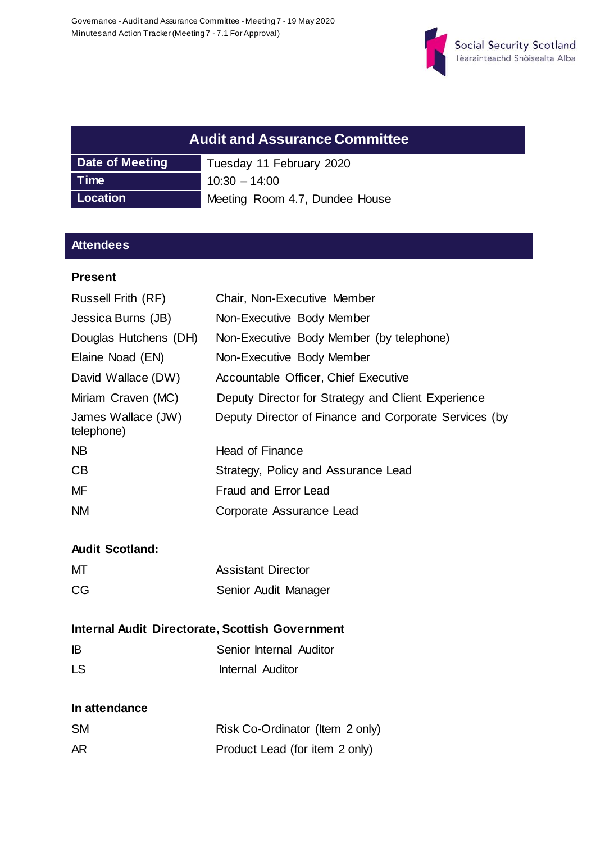

| <b>Audit and Assurance Committee</b>       |                          |  |  |
|--------------------------------------------|--------------------------|--|--|
| Date of Meeting                            | Tuesday 11 February 2020 |  |  |
| Time                                       | $10:30 - 14:00$          |  |  |
| Location<br>Meeting Room 4.7, Dundee House |                          |  |  |

## **Attendees**

#### **Present**

| Chair, Non-Executive Member                           |  |  |
|-------------------------------------------------------|--|--|
| Non-Executive Body Member                             |  |  |
| Non-Executive Body Member (by telephone)              |  |  |
| Non-Executive Body Member                             |  |  |
| Accountable Officer, Chief Executive                  |  |  |
| Deputy Director for Strategy and Client Experience    |  |  |
| Deputy Director of Finance and Corporate Services (by |  |  |
| Head of Finance                                       |  |  |
| Strategy, Policy and Assurance Lead                   |  |  |
| <b>Fraud and Error Lead</b>                           |  |  |
| Corporate Assurance Lead                              |  |  |
|                                                       |  |  |
|                                                       |  |  |
| <b>Assistant Director</b>                             |  |  |
| Senior Audit Manager                                  |  |  |
| Internal Audit Directorate, Scottish Government       |  |  |
| Senior Internal Auditor                               |  |  |
| <b>Internal Auditor</b>                               |  |  |
|                                                       |  |  |
| Risk Co-Ordinator (Item 2 only)                       |  |  |
| Product Lead (for item 2 only)                        |  |  |
|                                                       |  |  |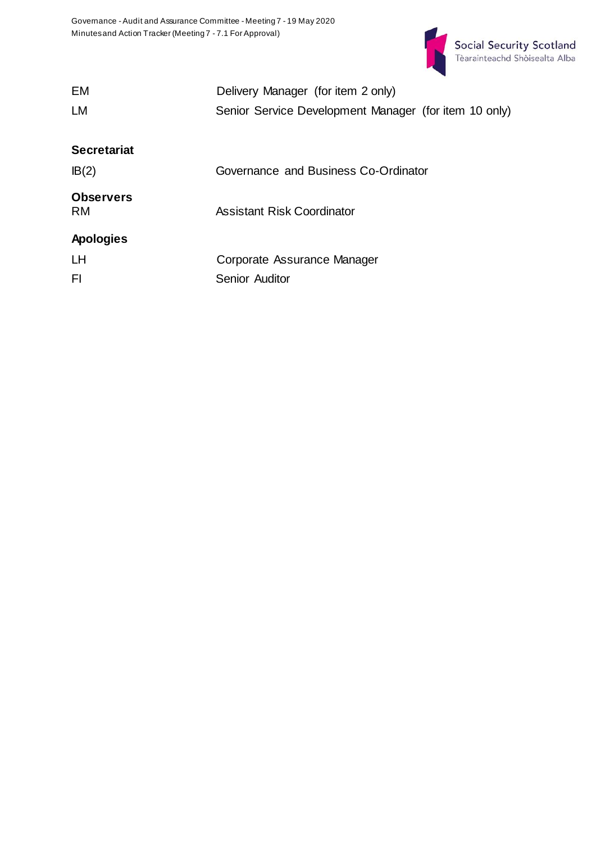

| EM                 | Delivery Manager (for item 2 only)                    |  |  |  |
|--------------------|-------------------------------------------------------|--|--|--|
| LM                 | Senior Service Development Manager (for item 10 only) |  |  |  |
|                    |                                                       |  |  |  |
| <b>Secretariat</b> |                                                       |  |  |  |
| IB(2)              | Governance and Business Co-Ordinator                  |  |  |  |
| <b>Observers</b>   |                                                       |  |  |  |
| <b>RM</b>          | <b>Assistant Risk Coordinator</b>                     |  |  |  |
| <b>Apologies</b>   |                                                       |  |  |  |
| <b>LH</b>          | Corporate Assurance Manager                           |  |  |  |
| FI                 | <b>Senior Auditor</b>                                 |  |  |  |
|                    |                                                       |  |  |  |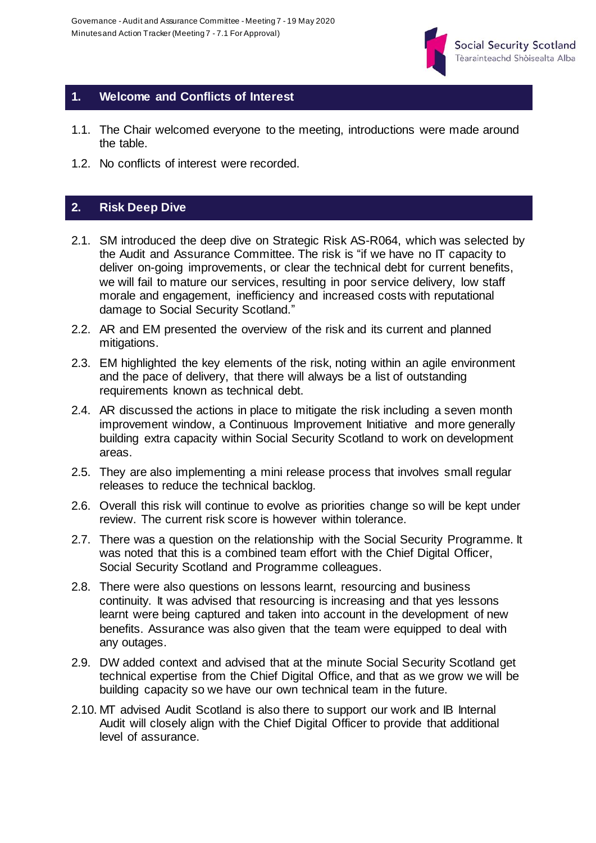

#### **1. Welcome and Conflicts of Interest**

- 1.1. The Chair welcomed everyone to the meeting, introductions were made around the table.
- 1.2. No conflicts of interest were recorded.

# **2. Risk Deep Dive**

- 2.1. SM introduced the deep dive on Strategic Risk AS-R064, which was selected by the Audit and Assurance Committee. The risk is "if we have no IT capacity to deliver on-going improvements, or clear the technical debt for current benefits, we will fail to mature our services, resulting in poor service delivery, low staff morale and engagement, inefficiency and increased costs with reputational damage to Social Security Scotland."
- 2.2. AR and EM presented the overview of the risk and its current and planned mitigations.
- 2.3. EM highlighted the key elements of the risk, noting within an agile environment and the pace of delivery, that there will always be a list of outstanding requirements known as technical debt.
- 2.4. AR discussed the actions in place to mitigate the risk including a seven month improvement window, a Continuous Improvement Initiative and more generally building extra capacity within Social Security Scotland to work on development areas.
- 2.5. They are also implementing a mini release process that involves small regular releases to reduce the technical backlog.
- 2.6. Overall this risk will continue to evolve as priorities change so will be kept under review. The current risk score is however within tolerance.
- 2.7. There was a question on the relationship with the Social Security Programme. It was noted that this is a combined team effort with the Chief Digital Officer, Social Security Scotland and Programme colleagues.
- 2.8. There were also questions on lessons learnt, resourcing and business continuity. It was advised that resourcing is increasing and that yes lessons learnt were being captured and taken into account in the development of new benefits. Assurance was also given that the team were equipped to deal with any outages.
- 2.9. DW added context and advised that at the minute Social Security Scotland get technical expertise from the Chief Digital Office, and that as we grow we will be building capacity so we have our own technical team in the future.
- 2.10. MT advised Audit Scotland is also there to support our work and IB Internal Audit will closely align with the Chief Digital Officer to provide that additional level of assurance.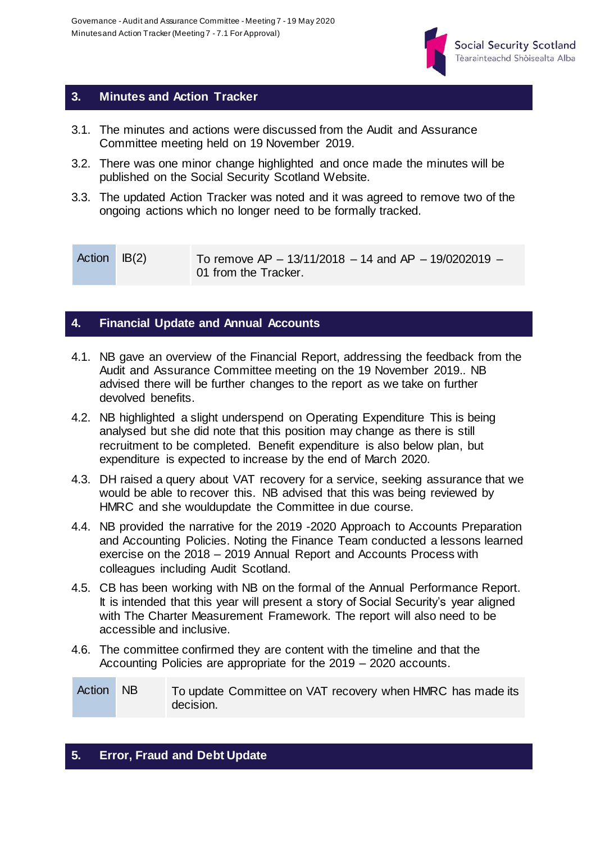

### **3. Minutes and Action Tracker**

- 3.1. The minutes and actions were discussed from the Audit and Assurance Committee meeting held on 19 November 2019.
- 3.2. There was one minor change highlighted and once made the minutes will be published on the Social Security Scotland Website.
- 3.3. The updated Action Tracker was noted and it was agreed to remove two of the ongoing actions which no longer need to be formally tracked.

| Action IB(2) | To remove AP $-$ 13/11/2018 $-$ 14 and AP $-$ 19/0202019 $-$ |
|--------------|--------------------------------------------------------------|
|              | 01 from the Tracker.                                         |

### **4. Financial Update and Annual Accounts**

- 4.1. NB gave an overview of the Financial Report, addressing the feedback from the Audit and Assurance Committee meeting on the 19 November 2019.. NB advised there will be further changes to the report as we take on further devolved benefits.
- 4.2. NB highlighted a slight underspend on Operating Expenditure This is being analysed but she did note that this position may change as there is still recruitment to be completed. Benefit expenditure is also below plan, but expenditure is expected to increase by the end of March 2020.
- 4.3. DH raised a query about VAT recovery for a service, seeking assurance that we would be able to recover this. NB advised that this was being reviewed by HMRC and she wouldupdate the Committee in due course.
- 4.4. NB provided the narrative for the 2019 -2020 Approach to Accounts Preparation and Accounting Policies. Noting the Finance Team conducted a lessons learned exercise on the 2018 – 2019 Annual Report and Accounts Process with colleagues including Audit Scotland.
- 4.5. CB has been working with NB on the formal of the Annual Performance Report. It is intended that this year will present a story of Social Security's year aligned with The Charter Measurement Framework. The report will also need to be accessible and inclusive.
- 4.6. The committee confirmed they are content with the timeline and that the Accounting Policies are appropriate for the 2019 – 2020 accounts.

Action NB To update Committee on VAT recovery when HMRC has made its decision.

### **5. Error, Fraud and Debt Update**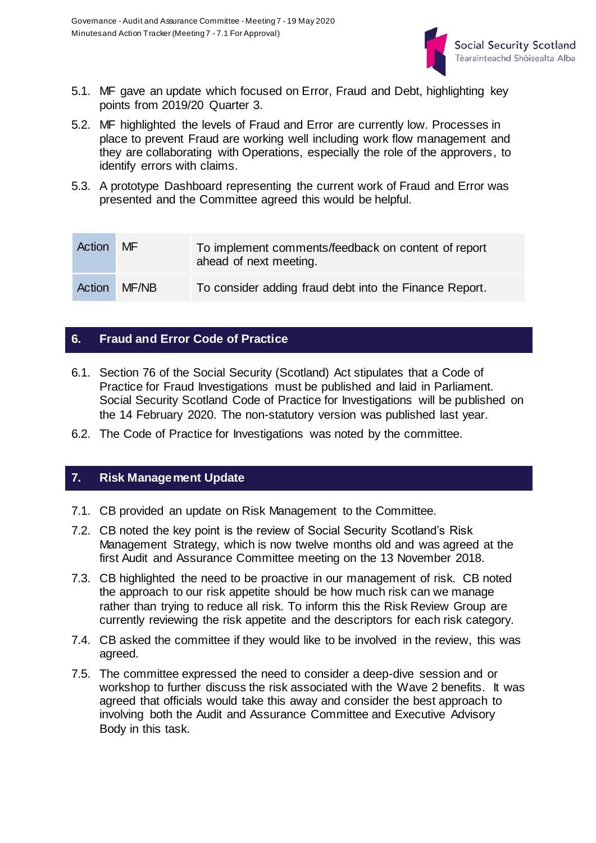

- 5.1. MF gave an update which focused on Error, Fraud and Debt, highlighting key points from 2019/20 Quarter 3.
- 5.2. MF highlighted the levels of Fraud and Error are currently low. Processes in place to prevent Fraud are working well including work flow management and they are collaborating with Operations, especially the role of the approvers, to identify errors with claims.
- 5.3. A prototype Dashboard representing the current work of Fraud and Error was presented and the Committee agreed this would be helpful.

| Action | MF.   | To implement comments/feedback on content of report<br>ahead of next meeting. |
|--------|-------|-------------------------------------------------------------------------------|
| Action | MF/NB | To consider adding fraud debt into the Finance Report.                        |

#### **6. Fraud and Error Code of Practice**

- 6.1. Section 76 of the Social Security (Scotland) Act stipulates that a Code of Practice for Fraud Investigations must be published and laid in Parliament. Social Security Scotland Code of Practice for Investigations will be published on the 14 February 2020. The non-statutory version was published last year.
- 6.2. The Code of Practice for Investigations was noted by the committee.

#### **7. Risk Management Update**

- 7.1. CB provided an update on Risk Management to the Committee.
- 7.2. CB noted the key point is the review of Social Security Scotland's Risk Management Strategy, which is now twelve months old and was agreed at the first Audit and Assurance Committee meeting on the 13 November 2018.
- 7.3. CB highlighted the need to be proactive in our management of risk. CB noted the approach to our risk appetite should be how much risk can we manage rather than trying to reduce all risk. To inform this the Risk Review Group are currently reviewing the risk appetite and the descriptors for each risk category.
- 7.4. CB asked the committee if they would like to be involved in the review, this was agreed.
- 7.5. The committee expressed the need to consider a deep-dive session and or workshop to further discuss the risk associated with the Wave 2 benefits. It was agreed that officials would take this away and consider the best approach to involving both the Audit and Assurance Committee and Executive Advisory Body in this task.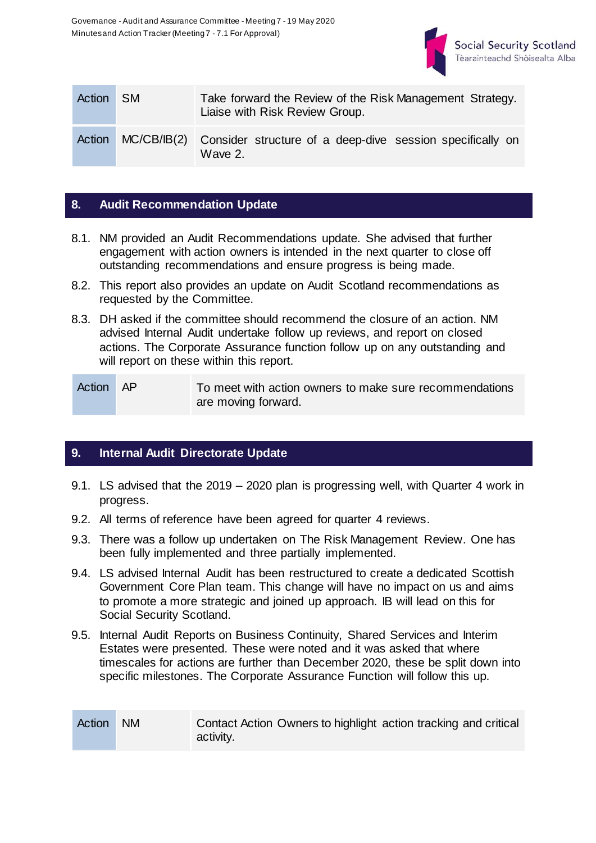

| Action SM |             | Take forward the Review of the Risk Management Strategy.<br>Liaise with Risk Review Group. |  |  |  |
|-----------|-------------|--------------------------------------------------------------------------------------------|--|--|--|
| Action    | MC/CB/IB(2) | Consider structure of a deep-dive session specifically on<br>Wave 2.                       |  |  |  |

### **8. Audit Recommendation Update**

- 8.1. NM provided an Audit Recommendations update. She advised that further engagement with action owners is intended in the next quarter to close off outstanding recommendations and ensure progress is being made.
- 8.2. This report also provides an update on Audit Scotland recommendations as requested by the Committee.
- 8.3. DH asked if the committee should recommend the closure of an action. NM advised Internal Audit undertake follow up reviews, and report on closed actions. The Corporate Assurance function follow up on any outstanding and will report on these within this report.

Action AP To meet with action owners to make sure recommendations are moving forward.

#### **9. Internal Audit Directorate Update**

- 9.1. LS advised that the 2019 2020 plan is progressing well, with Quarter 4 work in progress.
- 9.2. All terms of reference have been agreed for quarter 4 reviews.
- 9.3. There was a follow up undertaken on The Risk Management Review. One has been fully implemented and three partially implemented.
- 9.4. LS advised Internal Audit has been restructured to create a dedicated Scottish Government Core Plan team. This change will have no impact on us and aims to promote a more strategic and joined up approach. IB will lead on this for Social Security Scotland.
- 9.5. Internal Audit Reports on Business Continuity, Shared Services and Interim Estates were presented. These were noted and it was asked that where timescales for actions are further than December 2020, these be split down into specific milestones. The Corporate Assurance Function will follow this up.

| Action NM | Contact Action Owners to highlight action tracking and critical |
|-----------|-----------------------------------------------------------------|
|           | activity.                                                       |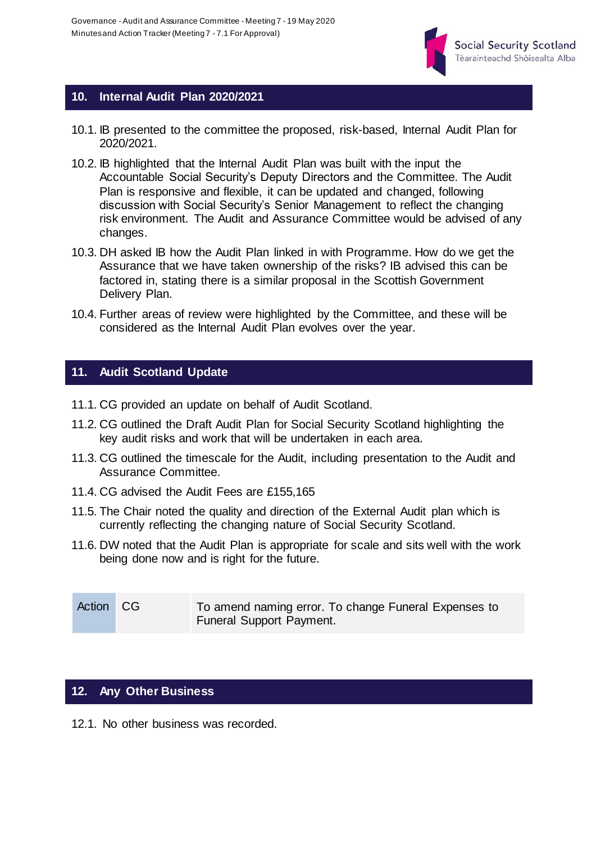

#### **10. Internal Audit Plan 2020/2021**

- 10.1. IB presented to the committee the proposed, risk-based, Internal Audit Plan for 2020/2021.
- 10.2. IB highlighted that the Internal Audit Plan was built with the input the Accountable Social Security's Deputy Directors and the Committee. The Audit Plan is responsive and flexible, it can be updated and changed, following discussion with Social Security's Senior Management to reflect the changing risk environment. The Audit and Assurance Committee would be advised of any changes.
- 10.3. DH asked IB how the Audit Plan linked in with Programme. How do we get the Assurance that we have taken ownership of the risks? IB advised this can be factored in, stating there is a similar proposal in the Scottish Government Delivery Plan.
- 10.4. Further areas of review were highlighted by the Committee, and these will be considered as the Internal Audit Plan evolves over the year.

#### **11. Audit Scotland Update**

- 11.1. CG provided an update on behalf of Audit Scotland.
- 11.2. CG outlined the Draft Audit Plan for Social Security Scotland highlighting the key audit risks and work that will be undertaken in each area.
- 11.3. CG outlined the timescale for the Audit, including presentation to the Audit and Assurance Committee.
- 11.4. CG advised the Audit Fees are £155,165
- 11.5. The Chair noted the quality and direction of the External Audit plan which is currently reflecting the changing nature of Social Security Scotland.
- 11.6. DW noted that the Audit Plan is appropriate for scale and sits well with the work being done now and is right for the future.

| Action CG | To amend naming error. To change Funeral Expenses to |
|-----------|------------------------------------------------------|
|           | <b>Funeral Support Payment.</b>                      |

#### **12. Any Other Business**

12.1. No other business was recorded.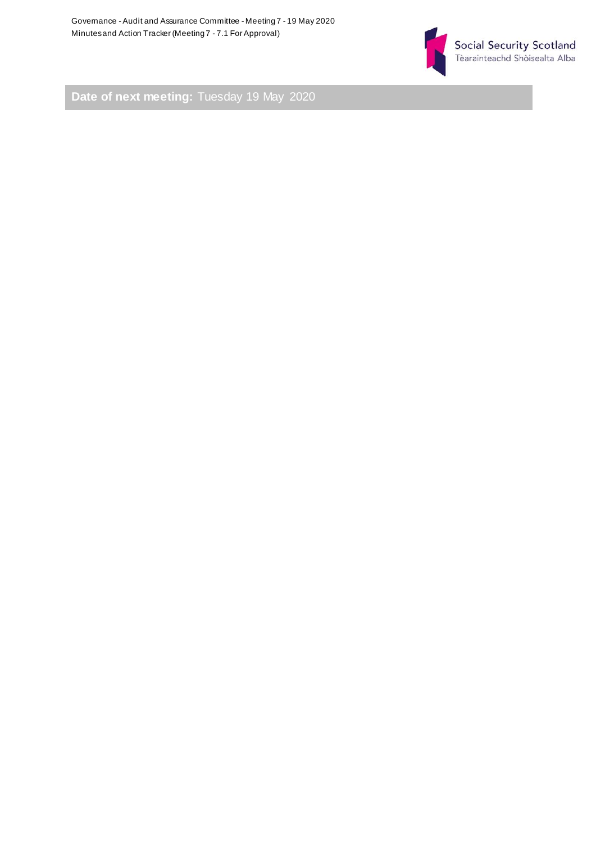

**Date of next meeting:** Tuesday 19 May 2020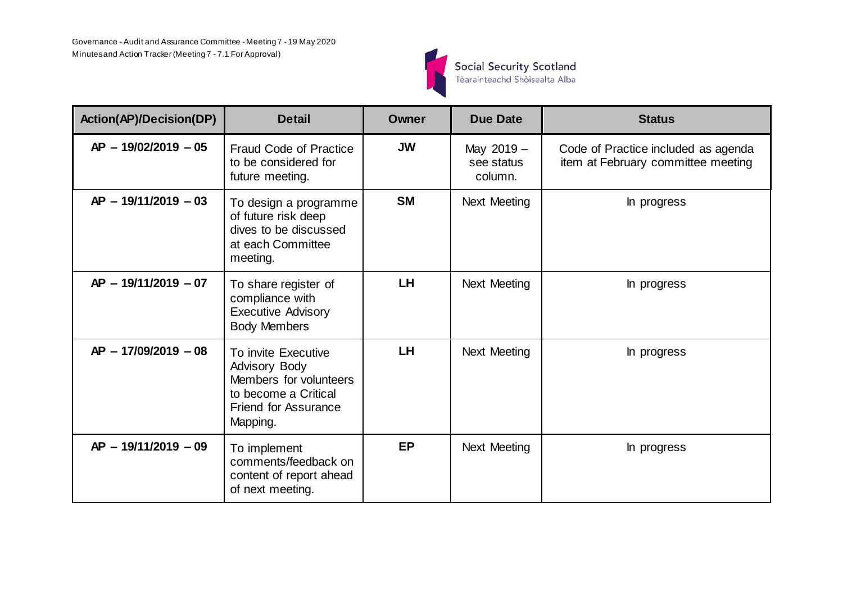

| <b>Action(AP)/Decision(DP)</b> | <b>Detail</b>                                                                                                                            | Owner     | <b>Due Date</b>                     | <b>Status</b>                                                             |
|--------------------------------|------------------------------------------------------------------------------------------------------------------------------------------|-----------|-------------------------------------|---------------------------------------------------------------------------|
| $AP - 19/02/2019 - 05$         | <b>Fraud Code of Practice</b><br>to be considered for<br>future meeting.                                                                 | <b>JW</b> | May 2019 -<br>see status<br>column. | Code of Practice included as agenda<br>item at February committee meeting |
| $AP - 19/11/2019 - 03$         | To design a programme<br>of future risk deep<br>dives to be discussed<br>at each Committee<br>meeting.                                   | <b>SM</b> | <b>Next Meeting</b>                 | In progress                                                               |
| $AP - 19/11/2019 - 07$         | To share register of<br>compliance with<br><b>Executive Advisory</b><br><b>Body Members</b>                                              | <b>LH</b> | Next Meeting                        | In progress                                                               |
| AP - 17/09/2019 - 08           | To invite Executive<br><b>Advisory Body</b><br>Members for volunteers<br>to become a Critical<br><b>Friend for Assurance</b><br>Mapping. | <b>LH</b> | <b>Next Meeting</b>                 | In progress                                                               |
| $AP - 19/11/2019 - 09$         | To implement<br>comments/feedback on<br>content of report ahead<br>of next meeting.                                                      | <b>EP</b> | <b>Next Meeting</b>                 | In progress                                                               |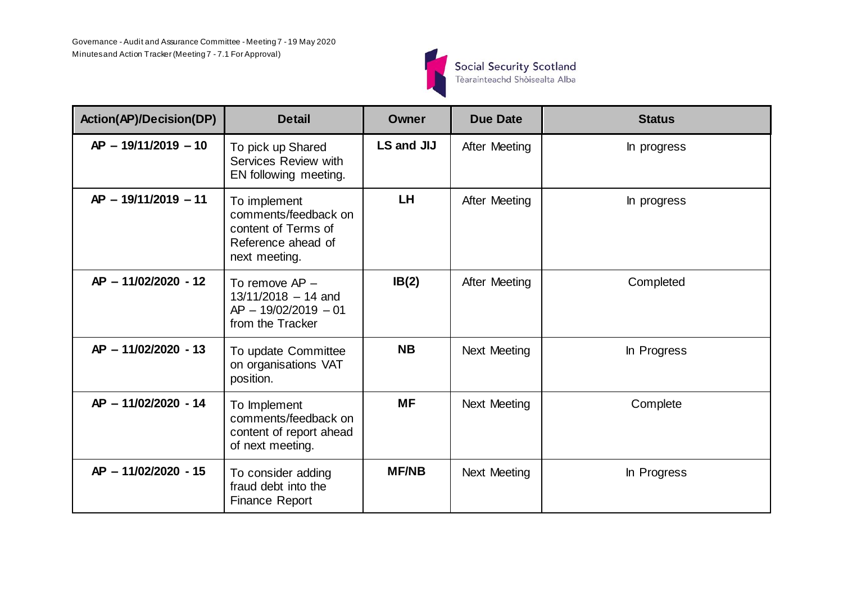

| <b>Action(AP)/Decision(DP)</b> | <b>Detail</b>                                                                                      | Owner        | <b>Due Date</b>     | <b>Status</b> |
|--------------------------------|----------------------------------------------------------------------------------------------------|--------------|---------------------|---------------|
| $AP - 19/11/2019 - 10$         | To pick up Shared<br>Services Review with<br>EN following meeting.                                 | LS and JIJ   | After Meeting       | In progress   |
| AP - 19/11/2019 - 11           | To implement<br>comments/feedback on<br>content of Terms of<br>Reference ahead of<br>next meeting. | <b>LH</b>    | After Meeting       | In progress   |
| AP - 11/02/2020 - 12           | To remove AP -<br>$13/11/2018 - 14$ and<br>$AP - 19/02/2019 - 01$<br>from the Tracker              | IB(2)        | After Meeting       | Completed     |
| AP - 11/02/2020 - 13           | To update Committee<br>on organisations VAT<br>position.                                           | <b>NB</b>    | Next Meeting        | In Progress   |
| AP - 11/02/2020 - 14           | To Implement<br>comments/feedback on<br>content of report ahead<br>of next meeting.                | <b>MF</b>    | <b>Next Meeting</b> | Complete      |
| AP - 11/02/2020 - 15           | To consider adding<br>fraud debt into the<br><b>Finance Report</b>                                 | <b>MF/NB</b> | <b>Next Meeting</b> | In Progress   |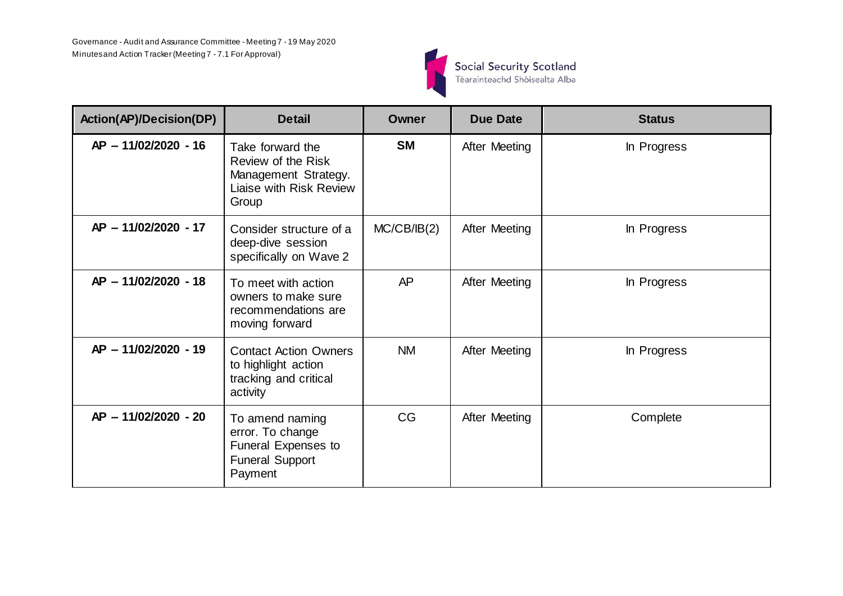

| <b>Action(AP)/Decision(DP)</b> | <b>Detail</b>                                                                                      | Owner       | <b>Due Date</b> | <b>Status</b> |
|--------------------------------|----------------------------------------------------------------------------------------------------|-------------|-----------------|---------------|
| AP - 11/02/2020 - 16           | Take forward the<br>Review of the Risk<br>Management Strategy.<br>Liaise with Risk Review<br>Group | <b>SM</b>   | After Meeting   | In Progress   |
| AP - 11/02/2020 - 17           | Consider structure of a<br>deep-dive session<br>specifically on Wave 2                             | MC/CB/IB(2) | After Meeting   | In Progress   |
| AP - 11/02/2020 - 18           | To meet with action<br>owners to make sure<br>recommendations are<br>moving forward                | AP          | After Meeting   | In Progress   |
| AP - 11/02/2020 - 19           | <b>Contact Action Owners</b><br>to highlight action<br>tracking and critical<br>activity           | <b>NM</b>   | After Meeting   | In Progress   |
| AP - 11/02/2020 - 20           | To amend naming<br>error. To change<br>Funeral Expenses to<br><b>Funeral Support</b><br>Payment    | <b>CG</b>   | After Meeting   | Complete      |